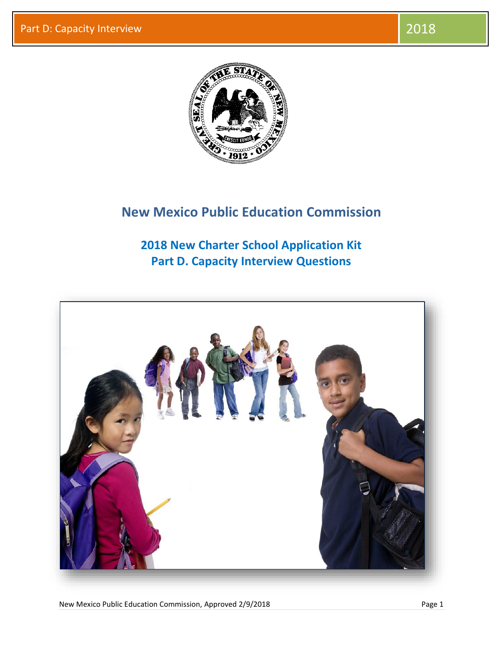

## **New Mexico Public Education Commission**

**2018 New Charter School Application Kit Part D. Capacity Interview Questions**



New Mexico Public Education Commission, Approved 2/9/2018 **Page 1** Page 1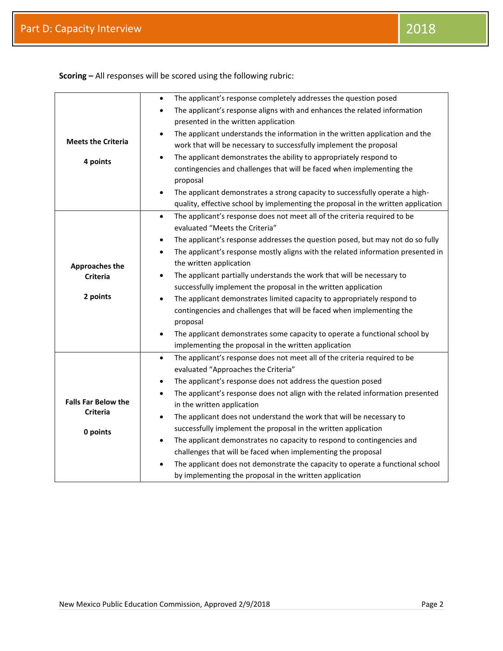|                            | The applicant's response completely addresses the question posed                              |
|----------------------------|-----------------------------------------------------------------------------------------------|
|                            | The applicant's response aligns with and enhances the related information                     |
|                            | presented in the written application                                                          |
|                            | The applicant understands the information in the written application and the<br>$\bullet$     |
| <b>Meets the Criteria</b>  | work that will be necessary to successfully implement the proposal                            |
| 4 points                   | The applicant demonstrates the ability to appropriately respond to<br>$\bullet$               |
|                            | contingencies and challenges that will be faced when implementing the                         |
|                            | proposal                                                                                      |
|                            | The applicant demonstrates a strong capacity to successfully operate a high-<br>$\bullet$     |
|                            | quality, effective school by implementing the proposal in the written application             |
|                            | The applicant's response does not meet all of the criteria required to be<br>$\bullet$        |
|                            | evaluated "Meets the Criteria"                                                                |
|                            | The applicant's response addresses the question posed, but may not do so fully<br>$\bullet$   |
|                            | The applicant's response mostly aligns with the related information presented in<br>$\bullet$ |
| <b>Approaches the</b>      | the written application                                                                       |
| <b>Criteria</b>            | The applicant partially understands the work that will be necessary to<br>$\bullet$           |
|                            | successfully implement the proposal in the written application                                |
| 2 points                   | The applicant demonstrates limited capacity to appropriately respond to<br>$\bullet$          |
|                            | contingencies and challenges that will be faced when implementing the                         |
|                            | proposal                                                                                      |
|                            | The applicant demonstrates some capacity to operate a functional school by<br>$\bullet$       |
|                            | implementing the proposal in the written application                                          |
|                            | The applicant's response does not meet all of the criteria required to be<br>$\bullet$        |
|                            | evaluated "Approaches the Criteria"                                                           |
|                            | The applicant's response does not address the question posed<br>$\bullet$                     |
| <b>Falls Far Below the</b> | The applicant's response does not align with the related information presented<br>$\bullet$   |
| <b>Criteria</b>            | in the written application                                                                    |
|                            | The applicant does not understand the work that will be necessary to<br>$\bullet$             |
| 0 points                   | successfully implement the proposal in the written application                                |
|                            | The applicant demonstrates no capacity to respond to contingencies and<br>$\bullet$           |
|                            | challenges that will be faced when implementing the proposal                                  |
|                            | The applicant does not demonstrate the capacity to operate a functional school<br>$\bullet$   |
|                            | by implementing the proposal in the written application                                       |

**Scoring –** All responses will be scored using the following rubric: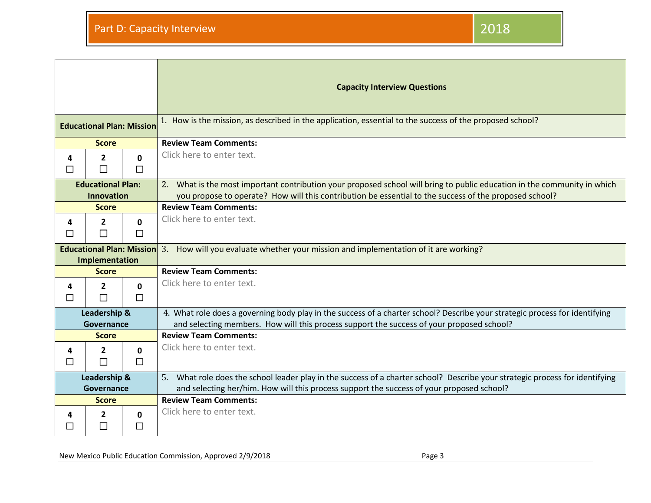|                                                    |                          |                        | <b>Capacity Interview Questions</b>                                                                                                                                                                                                |
|----------------------------------------------------|--------------------------|------------------------|------------------------------------------------------------------------------------------------------------------------------------------------------------------------------------------------------------------------------------|
| <b>Educational Plan: Mission</b>                   |                          |                        | 1. How is the mission, as described in the application, essential to the success of the proposed school?                                                                                                                           |
| <b>Score</b>                                       |                          |                        | <b>Review Team Comments:</b>                                                                                                                                                                                                       |
| 4<br>П                                             | $\mathbf{2}$<br>П        | $\mathbf{0}$<br>$\Box$ | Click here to enter text.                                                                                                                                                                                                          |
| <b>Educational Plan:</b><br><b>Innovation</b>      |                          |                        | 2. What is the most important contribution your proposed school will bring to public education in the community in which<br>you propose to operate? How will this contribution be essential to the success of the proposed school? |
| <b>Score</b>                                       |                          |                        | <b>Review Team Comments:</b>                                                                                                                                                                                                       |
| 4<br>П                                             | $\mathbf{2}$<br>$\Box$   | $\mathbf{0}$<br>$\Box$ | Click here to enter text.                                                                                                                                                                                                          |
| <b>Educational Plan: Mission</b><br>Implementation |                          |                        | 3. How will you evaluate whether your mission and implementation of it are working?                                                                                                                                                |
| <b>Score</b>                                       |                          |                        | <b>Review Team Comments:</b>                                                                                                                                                                                                       |
| 4<br>□                                             | $\overline{2}$<br>$\Box$ | $\Omega$<br>$\Box$     | Click here to enter text.                                                                                                                                                                                                          |
| Leadership &<br>Governance                         |                          |                        | 4. What role does a governing body play in the success of a charter school? Describe your strategic process for identifying<br>and selecting members. How will this process support the success of your proposed school?           |
| <b>Score</b>                                       |                          |                        | <b>Review Team Comments:</b>                                                                                                                                                                                                       |
| 4<br>ΙI                                            | $\mathbf{2}$<br>$\Box$   | 0<br>$\Box$            | Click here to enter text.                                                                                                                                                                                                          |
| Leadership &<br>Governance                         |                          |                        | 5. What role does the school leader play in the success of a charter school? Describe your strategic process for identifying<br>and selecting her/him. How will this process support the success of your proposed school?          |
| <b>Score</b>                                       |                          |                        | <b>Review Team Comments:</b>                                                                                                                                                                                                       |
| 4<br>$\mathcal{L}$                                 | 2<br>П                   | $\Omega$<br>П          | Click here to enter text.                                                                                                                                                                                                          |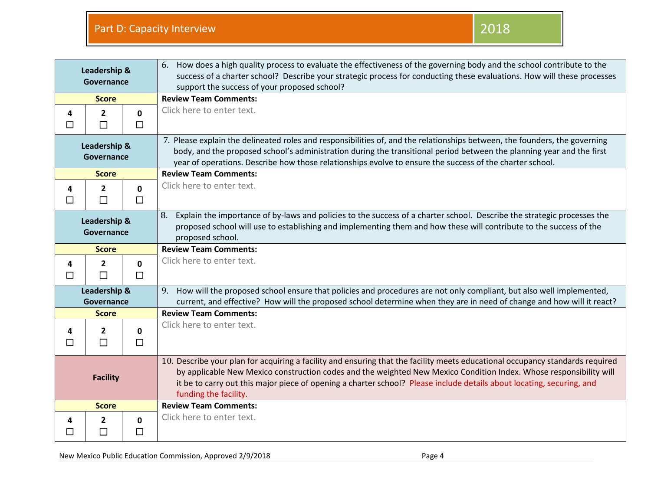| Leadership &<br>Governance |                          |                        | 6. How does a high quality process to evaluate the effectiveness of the governing body and the school contribute to the<br>success of a charter school? Describe your strategic process for conducting these evaluations. How will these processes<br>support the success of your proposed school?                                                                                                    |
|----------------------------|--------------------------|------------------------|-------------------------------------------------------------------------------------------------------------------------------------------------------------------------------------------------------------------------------------------------------------------------------------------------------------------------------------------------------------------------------------------------------|
| <b>Score</b>               |                          |                        | <b>Review Team Comments:</b>                                                                                                                                                                                                                                                                                                                                                                          |
| 4<br>$\Box$                | $\mathbf{2}$<br>П        | $\mathbf 0$<br>$\Box$  | Click here to enter text.                                                                                                                                                                                                                                                                                                                                                                             |
| Leadership &<br>Governance |                          |                        | 7. Please explain the delineated roles and responsibilities of, and the relationships between, the founders, the governing<br>body, and the proposed school's administration during the transitional period between the planning year and the first<br>year of operations. Describe how those relationships evolve to ensure the success of the charter school.                                       |
| <b>Score</b>               |                          |                        | <b>Review Team Comments:</b>                                                                                                                                                                                                                                                                                                                                                                          |
| 4<br>□                     | $\overline{2}$<br>$\Box$ | $\mathbf{0}$<br>$\Box$ | Click here to enter text.                                                                                                                                                                                                                                                                                                                                                                             |
| Leadership &<br>Governance |                          |                        | Explain the importance of by-laws and policies to the success of a charter school. Describe the strategic processes the<br>8.<br>proposed school will use to establishing and implementing them and how these will contribute to the success of the<br>proposed school.                                                                                                                               |
| <b>Score</b>               |                          |                        | <b>Review Team Comments:</b>                                                                                                                                                                                                                                                                                                                                                                          |
| 4<br>$\Box$                | $\mathbf{2}$<br>$\Box$   | $\mathbf{0}$<br>$\Box$ | Click here to enter text.                                                                                                                                                                                                                                                                                                                                                                             |
| Leadership &<br>Governance |                          |                        | 9. How will the proposed school ensure that policies and procedures are not only compliant, but also well implemented,<br>current, and effective? How will the proposed school determine when they are in need of change and how will it react?                                                                                                                                                       |
| <b>Score</b>               |                          |                        | <b>Review Team Comments:</b>                                                                                                                                                                                                                                                                                                                                                                          |
| 4<br>□                     | $\mathbf{2}$<br>$\Box$   | $\mathbf 0$<br>$\Box$  | Click here to enter text.                                                                                                                                                                                                                                                                                                                                                                             |
| <b>Facility</b>            |                          |                        | 10. Describe your plan for acquiring a facility and ensuring that the facility meets educational occupancy standards required<br>by applicable New Mexico construction codes and the weighted New Mexico Condition Index. Whose responsibility will<br>it be to carry out this major piece of opening a charter school? Please include details about locating, securing, and<br>funding the facility. |
|                            | <b>Score</b>             |                        | <b>Review Team Comments:</b>                                                                                                                                                                                                                                                                                                                                                                          |
| 4<br>П                     | 2<br>П                   | $\mathbf{0}$<br>$\Box$ | Click here to enter text.                                                                                                                                                                                                                                                                                                                                                                             |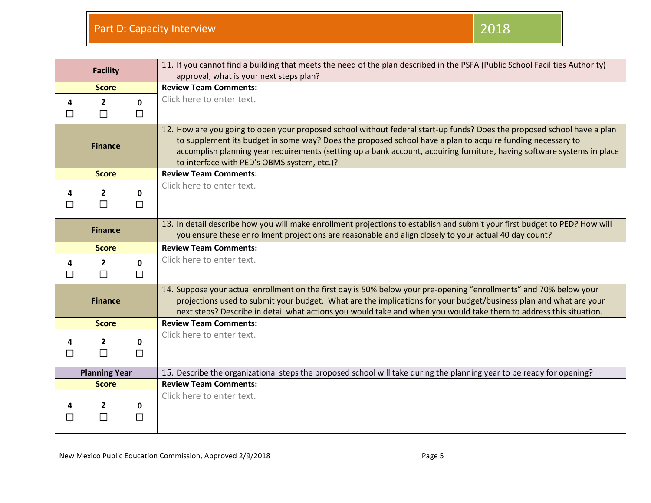|                      | <b>Facility</b>          |                        | 11. If you cannot find a building that meets the need of the plan described in the PSFA (Public School Facilities Authority)<br>approval, what is your next steps plan?                                                                                                                                                                                                                                         |
|----------------------|--------------------------|------------------------|-----------------------------------------------------------------------------------------------------------------------------------------------------------------------------------------------------------------------------------------------------------------------------------------------------------------------------------------------------------------------------------------------------------------|
| <b>Score</b>         |                          |                        | <b>Review Team Comments:</b>                                                                                                                                                                                                                                                                                                                                                                                    |
| 4<br>$\Box$          | $\overline{2}$<br>$\Box$ | $\mathbf{0}$<br>$\Box$ | Click here to enter text.                                                                                                                                                                                                                                                                                                                                                                                       |
| <b>Finance</b>       |                          |                        | 12. How are you going to open your proposed school without federal start-up funds? Does the proposed school have a plan<br>to supplement its budget in some way? Does the proposed school have a plan to acquire funding necessary to<br>accomplish planning year requirements (setting up a bank account, acquiring furniture, having software systems in place<br>to interface with PED's OBMS system, etc.)? |
| <b>Score</b>         |                          |                        | <b>Review Team Comments:</b>                                                                                                                                                                                                                                                                                                                                                                                    |
| 4<br>П               | $\mathbf{2}$<br>П        | 0<br>$\Box$            | Click here to enter text.                                                                                                                                                                                                                                                                                                                                                                                       |
| <b>Finance</b>       |                          |                        | 13. In detail describe how you will make enrollment projections to establish and submit your first budget to PED? How will<br>you ensure these enrollment projections are reasonable and align closely to your actual 40 day count?                                                                                                                                                                             |
| <b>Score</b>         |                          |                        | <b>Review Team Comments:</b>                                                                                                                                                                                                                                                                                                                                                                                    |
| 4<br>П               | $\overline{2}$<br>П      | $\mathbf{0}$<br>$\Box$ | Click here to enter text.                                                                                                                                                                                                                                                                                                                                                                                       |
| <b>Finance</b>       |                          |                        | 14. Suppose your actual enrollment on the first day is 50% below your pre-opening "enrollments" and 70% below your<br>projections used to submit your budget. What are the implications for your budget/business plan and what are your<br>next steps? Describe in detail what actions you would take and when you would take them to address this situation.                                                   |
| <b>Score</b>         |                          |                        | <b>Review Team Comments:</b>                                                                                                                                                                                                                                                                                                                                                                                    |
| $\Box$               | $\mathbf{2}$<br>$\Box$   | 0<br>$\Box$            | Click here to enter text.                                                                                                                                                                                                                                                                                                                                                                                       |
| <b>Planning Year</b> |                          |                        | 15. Describe the organizational steps the proposed school will take during the planning year to be ready for opening?                                                                                                                                                                                                                                                                                           |
| <b>Score</b>         |                          |                        | <b>Review Team Comments:</b>                                                                                                                                                                                                                                                                                                                                                                                    |
|                      | 2<br>$\mathsf{L}$        | 0<br>□                 | Click here to enter text.                                                                                                                                                                                                                                                                                                                                                                                       |